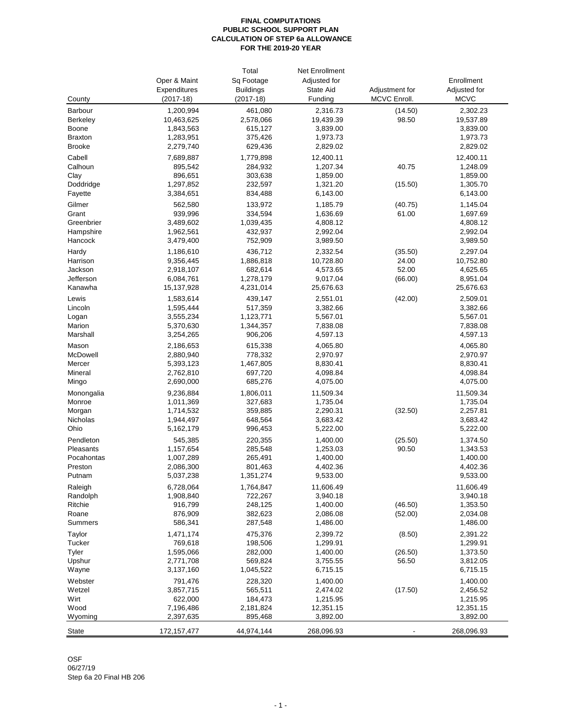#### **FINAL COMPUTATIONS PUBLIC SCHOOL SUPPORT PLAN CALCULATION OF STEP 6a ALLOWANCE FOR THE 2019-20 YEAR**

|                  |                        | Total              | Net Enrollment       |                |                      |
|------------------|------------------------|--------------------|----------------------|----------------|----------------------|
|                  | Oper & Maint           | Sq Footage         | Adjusted for         |                | Enrollment           |
|                  | Expenditures           | <b>Buildings</b>   | State Aid            | Adjustment for | Adjusted for         |
| County           | $(2017-18)$            | $(2017-18)$        | Funding              | MCVC Enroll.   | <b>MCVC</b>          |
| <b>Barbour</b>   | 1,200,994              | 461,080            | 2,316.73             | (14.50)        | 2,302.23             |
| <b>Berkeley</b>  | 10,463,625             | 2,578,066          | 19,439.39            | 98.50          | 19,537.89            |
| <b>Boone</b>     | 1,843,563              | 615,127            | 3,839.00             |                | 3,839.00             |
| <b>Braxton</b>   | 1,283,951              | 375,426            | 1,973.73             |                | 1,973.73             |
|                  |                        |                    |                      |                |                      |
| <b>Brooke</b>    | 2,279,740              | 629,436            | 2,829.02             |                | 2,829.02             |
| Cabell           | 7,689,887              | 1,779,898          | 12,400.11            |                | 12,400.11            |
| Calhoun          | 895,542                | 284,932            | 1,207.34             | 40.75          | 1,248.09             |
| Clay             | 896,651                | 303,638            | 1,859.00             |                | 1,859.00             |
| Doddridge        | 1,297,852              | 232,597            | 1,321.20             | (15.50)        | 1,305.70             |
| Fayette          | 3,384,651              | 834,488            | 6,143.00             |                | 6,143.00             |
| Gilmer           | 562,580                | 133,972            | 1,185.79             | (40.75)        | 1,145.04             |
| Grant            | 939,996                | 334,594            | 1,636.69             | 61.00          | 1,697.69             |
| Greenbrier       | 3,489,602              | 1,039,435          | 4,808.12             |                | 4,808.12             |
| Hampshire        | 1,962,561              | 432,937            | 2,992.04             |                | 2,992.04             |
| Hancock          | 3,479,400              | 752,909            | 3,989.50             |                | 3,989.50             |
| Hardy            | 1,186,610              | 436,712            | 2,332.54             | (35.50)        | 2,297.04             |
| Harrison         | 9,356,445              | 1,886,818          | 10,728.80            | 24.00          | 10,752.80            |
| Jackson          | 2,918,107              | 682,614            | 4,573.65             | 52.00          | 4,625.65             |
| Jefferson        | 6,084,761              | 1,278,179          | 9,017.04             | (66.00)        | 8,951.04             |
| Kanawha          | 15,137,928             | 4,231,014          | 25,676.63            |                | 25,676.63            |
| Lewis            | 1,583,614              | 439,147            | 2,551.01             | (42.00)        | 2,509.01             |
| Lincoln          | 1,595,444              | 517,359            | 3,382.66             |                | 3,382.66             |
| Logan            | 3,555,234              | 1,123,771          | 5,567.01             |                | 5,567.01             |
| Marion           | 5,370,630              | 1,344,357          | 7,838.08             |                | 7,838.08             |
| Marshall         | 3,254,265              | 906,206            | 4,597.13             |                | 4,597.13             |
| Mason            | 2,186,653              | 615,338            | 4,065.80             |                | 4,065.80             |
| McDowell         | 2,880,940              | 778,332            | 2,970.97             |                | 2,970.97             |
| Mercer           | 5,393,123              | 1,467,805          | 8,830.41             |                | 8,830.41             |
| Mineral          | 2,762,810              | 697,720            | 4,098.84             |                | 4,098.84             |
| Mingo            | 2,690,000              | 685,276            | 4,075.00             |                | 4,075.00             |
| Monongalia       | 9,236,884              | 1,806,011          | 11,509.34            |                | 11,509.34            |
| Monroe           | 1,011,369              | 327,683            | 1,735.04             |                | 1,735.04             |
|                  | 1,714,532              | 359,885            | 2,290.31             | (32.50)        | 2,257.81             |
| Morgan           |                        |                    |                      |                |                      |
| Nicholas<br>Ohio | 1,944,497<br>5,162,179 | 648,564<br>996,453 | 3,683.42<br>5,222.00 |                | 3,683.42<br>5,222.00 |
| Pendleton        |                        | 220,355            |                      |                |                      |
|                  | 545,385                |                    | 1,400.00             | (25.50)        | 1,374.50             |
| Pleasants        | 1,157,654              | 285,548            | 1,253.03             | 90.50          | 1,343.53             |
| Pocahontas       | 1,007,289              | 265,491            | 1,400.00             |                | 1,400.00             |
| Preston          | 2,086,300              | 801,463            | 4,402.36             |                | 4,402.36             |
| Putnam           | 5,037,238              | 1,351,274          | 9,533.00             |                | 9,533.00             |
| Raleigh          | 6,728,064              | 1,764,847          | 11,606.49            |                | 11,606.49            |
| Randolph         | 1,908,840              | 722,267            | 3,940.18             |                | 3,940.18             |
| Ritchie          | 916,799                | 248,125            | 1,400.00             | (46.50)        | 1,353.50             |
| Roane            | 876,909                | 382,623            | 2,086.08             | (52.00)        | 2,034.08             |
| <b>Summers</b>   | 586,341                | 287,548            | 1,486.00             |                | 1,486.00             |
| Taylor           | 1,471,174              | 475,376            | 2,399.72             | (8.50)         | 2,391.22             |
| <b>Tucker</b>    | 769,618                | 198,506            | 1,299.91             |                | 1,299.91             |
| Tyler            | 1,595,066              | 282,000            | 1,400.00             | (26.50)        | 1,373.50             |
| Upshur           | 2,771,708              | 569,824            | 3,755.55             | 56.50          | 3,812.05             |
| Wayne            | 3,137,160              | 1,045,522          | 6,715.15             |                | 6,715.15             |
| Webster          | 791,476                | 228,320            | 1,400.00             |                | 1,400.00             |
| Wetzel           | 3,857,715              | 565,511            | 2,474.02             | (17.50)        | 2,456.52             |
| Wirt             | 622,000                | 184,473            | 1,215.95             |                | 1,215.95             |
| Wood             | 7,196,486              | 2,181,824          | 12,351.15            |                | 12,351.15            |
|                  |                        |                    |                      |                |                      |
| Wyoming          | 2,397,635              | 895,468            | 3,892.00             |                | 3,892.00             |
| <b>State</b>     | 172, 157, 477          | 44,974,144         | 268,096.93           |                | 268,096.93           |

### OSF 06/27/19

Step 6a 20 Final HB 206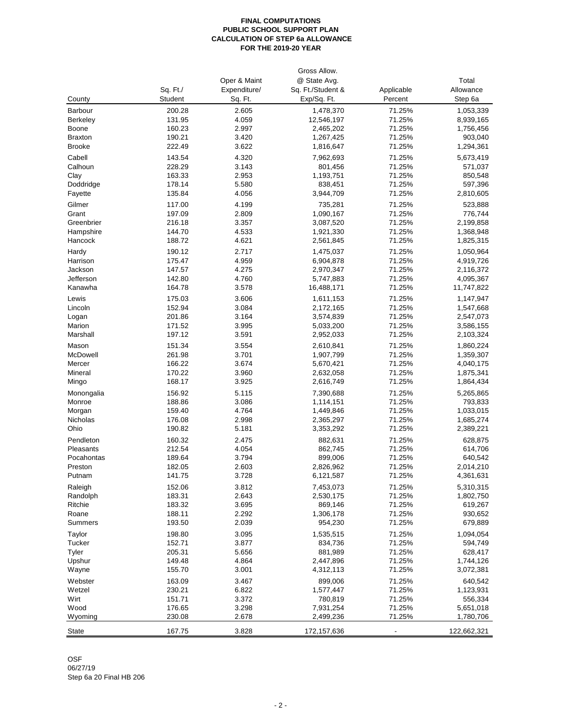#### **FINAL COMPUTATIONS PUBLIC SCHOOL SUPPORT PLAN CALCULATION OF STEP 6a ALLOWANCE FOR THE 2019-20 YEAR**

# OSF

06/27/19 Step 6a 20 Final HB 206

|                 | Gross Allow.   |              |                   |            |             |  |  |
|-----------------|----------------|--------------|-------------------|------------|-------------|--|--|
|                 |                | Oper & Maint | @ State Avg.      |            | Total       |  |  |
|                 | Sq. Ft./       | Expenditure/ | Sq. Ft./Student & | Applicable | Allowance   |  |  |
| County          | <b>Student</b> | Sq. Ft.      | Exp/Sq. Ft.       | Percent    | Step 6a     |  |  |
| <b>Barbour</b>  | 200.28         | 2.605        | 1,478,370         | 71.25%     | 1,053,339   |  |  |
| <b>Berkeley</b> | 131.95         | 4.059        | 12,546,197        | 71.25%     | 8,939,165   |  |  |
|                 |                |              |                   |            |             |  |  |
| Boone           | 160.23         | 2.997        | 2,465,202         | 71.25%     | 1,756,456   |  |  |
| <b>Braxton</b>  | 190.21         | 3.420        | 1,267,425         | 71.25%     | 903,040     |  |  |
| <b>Brooke</b>   | 222.49         | 3.622        | 1,816,647         | 71.25%     | 1,294,361   |  |  |
| Cabell          | 143.54         | 4.320        | 7,962,693         | 71.25%     | 5,673,419   |  |  |
| Calhoun         | 228.29         | 3.143        | 801,456           | 71.25%     | 571,037     |  |  |
| Clay            | 163.33         | 2.953        | 1,193,751         | 71.25%     | 850,548     |  |  |
| Doddridge       | 178.14         | 5.580        | 838,451           | 71.25%     | 597,396     |  |  |
| Fayette         | 135.84         | 4.056        | 3,944,709         | 71.25%     | 2,810,605   |  |  |
| Gilmer          | 117.00         | 4.199        | 735,281           | 71.25%     | 523,888     |  |  |
| Grant           | 197.09         | 2.809        | 1,090,167         | 71.25%     | 776,744     |  |  |
| Greenbrier      | 216.18         | 3.357        | 3,087,520         | 71.25%     | 2,199,858   |  |  |
|                 | 144.70         | 4.533        |                   | 71.25%     |             |  |  |
| Hampshire       |                |              | 1,921,330         |            | 1,368,948   |  |  |
| Hancock         | 188.72         | 4.621        | 2,561,845         | 71.25%     | 1,825,315   |  |  |
| Hardy           | 190.12         | 2.717        | 1,475,037         | 71.25%     | 1,050,964   |  |  |
| Harrison        | 175.47         | 4.959        | 6,904,878         | 71.25%     | 4,919,726   |  |  |
| Jackson         | 147.57         | 4.275        | 2,970,347         | 71.25%     | 2,116,372   |  |  |
| Jefferson       | 142.80         | 4.760        | 5,747,883         | 71.25%     | 4,095,367   |  |  |
| Kanawha         | 164.78         | 3.578        | 16,488,171        | 71.25%     | 11,747,822  |  |  |
| Lewis           | 175.03         | 3.606        | 1,611,153         | 71.25%     | 1,147,947   |  |  |
| Lincoln         | 152.94         | 3.084        | 2,172,165         | 71.25%     | 1,547,668   |  |  |
| Logan           | 201.86         | 3.164        | 3,574,839         | 71.25%     | 2,547,073   |  |  |
| Marion          | 171.52         | 3.995        | 5,033,200         | 71.25%     | 3,586,155   |  |  |
| Marshall        | 197.12         | 3.591        | 2,952,033         | 71.25%     | 2,103,324   |  |  |
|                 |                |              |                   |            |             |  |  |
| Mason           | 151.34         | 3.554        | 2,610,841         | 71.25%     | 1,860,224   |  |  |
| McDowell        | 261.98         | 3.701        | 1,907,799         | 71.25%     | 1,359,307   |  |  |
| Mercer          | 166.22         | 3.674        | 5,670,421         | 71.25%     | 4,040,175   |  |  |
| Mineral         | 170.22         | 3.960        | 2,632,058         | 71.25%     | 1,875,341   |  |  |
| Mingo           | 168.17         | 3.925        | 2,616,749         | 71.25%     | 1,864,434   |  |  |
| Monongalia      | 156.92         | 5.115        | 7,390,688         | 71.25%     | 5,265,865   |  |  |
| Monroe          | 188.86         | 3.086        | 1,114,151         | 71.25%     | 793,833     |  |  |
| Morgan          | 159.40         | 4.764        | 1,449,846         | 71.25%     | 1,033,015   |  |  |
| Nicholas        | 176.08         | 2.998        | 2,365,297         | 71.25%     | 1,685,274   |  |  |
| Ohio            | 190.82         | 5.181        | 3,353,292         | 71.25%     | 2,389,221   |  |  |
| Pendleton       | 160.32         | 2.475        | 882,631           | 71.25%     | 628,875     |  |  |
| Pleasants       | 212.54         | 4.054        | 862,745           | 71.25%     | 614,706     |  |  |
| Pocahontas      | 189.64         | 3.794        | 899,006           | 71.25%     | 640,542     |  |  |
| Preston         | 182.05         | 2.603        | 2,826,962         | 71.25%     | 2,014,210   |  |  |
| Putnam          | 141.75         | 3.728        | 6,121,587         | 71.25%     | 4,361,631   |  |  |
|                 |                |              |                   |            |             |  |  |
| Raleigh         | 152.06         | 3.812        | 7,453,073         | 71.25%     | 5,310,315   |  |  |
| Randolph        | 183.31         | 2.643        | 2,530,175         | 71.25%     | 1,802,750   |  |  |
| Ritchie         | 183.32         | 3.695        | 869,146           | 71.25%     | 619,267     |  |  |
| Roane           | 188.11         | 2.292        | 1,306,178         | 71.25%     | 930,652     |  |  |
| <b>Summers</b>  | 193.50         | 2.039        | 954,230           | 71.25%     | 679,889     |  |  |
| Taylor          | 198.80         | 3.095        | 1,535,515         | 71.25%     | 1,094,054   |  |  |
| Tucker          | 152.71         | 3.877        | 834,736           | 71.25%     | 594,749     |  |  |
| Tyler           | 205.31         | 5.656        | 881,989           | 71.25%     | 628,417     |  |  |
| Upshur          | 149.48         | 4.864        | 2,447,896         | 71.25%     | 1,744,126   |  |  |
| Wayne           | 155.70         | 3.001        | 4,312,113         | 71.25%     | 3,072,381   |  |  |
|                 |                |              |                   |            |             |  |  |
| Webster         | 163.09         | 3.467        | 899,006           | 71.25%     | 640,542     |  |  |
| Wetzel          | 230.21         | 6.822        | 1,577,447         | 71.25%     | 1,123,931   |  |  |
| Wirt            | 151.71         | 3.372        | 780,819           | 71.25%     | 556,334     |  |  |
| Wood            | 176.65         | 3.298        | 7,931,254         | 71.25%     | 5,651,018   |  |  |
| Wyoming         | 230.08         | 2.678        | 2,499,236         | 71.25%     | 1,780,706   |  |  |
| <b>State</b>    | 167.75         | 3.828        | 172, 157, 636     |            | 122,662,321 |  |  |